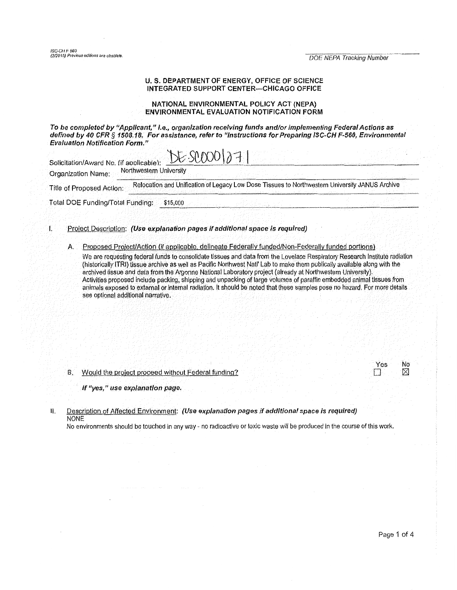# U. S. DEPARTMENT OF ENERGY, OFFICE OF SCIENCE INTEGRATED SUPPORT CENTER-CHICAGO OFFICE

# NATIONAL ENVIRONMENTAL POLICY ACT (NEPA) ENVIRONMENTAL EVALUATION NOTIFICATION FORM

To be completed by "Applicant," I.e., organization receiving funds and/or implementing Federal Actions as defined by 40 CFR *§* 1508.18, For assistance, refer to "Instructions for Preparing ISC·CH F-560, Environmental Evaluation Notification Form."

| Solicitation/Award No. (if applicable): | $E-SLOOO(271)$          |                                                                                                |  |
|-----------------------------------------|-------------------------|------------------------------------------------------------------------------------------------|--|
| Organization Name:                      | Northwestern University |                                                                                                |  |
| Title of Proposed Action:               |                         | Relocation and Unification of Legacy Low Dose Tissues to Northwestern University JANUS Archive |  |
| Total DOE Funding/Total Funding:        | \$15,000                |                                                                                                |  |
|                                         |                         |                                                                                                |  |

### I. Proiect Description: (Use explanation pages if additional space is required)

A. Proposed Project/Action (if applicable, delineate Federally funded/Non-Federally funded portions)

We are requesting federal funds to consolidate tissues and data from the Lovelace Respiratory Research Institute radiation (historically ITRI) tissue archive as well as Pacific Northwest Natl' Lab to make them publically available along with the archived tissue and data from the Argonne National Laboratory project {already at Northwestern University). Activities proposed Include packing, shipping and unpacking of large volumes of paraffin embedded animal tissues from animals exposed to extarnal or internal radiation. It should be noted that these samples pose no hazard. For more details see optional additional narrative.

#### 8. Would the project proceed without Federal funding?

| YAS | N٥ |
|-----|----|
|     | M  |

If "yes," use explanation page.

II. Description of Affected Environment: (Use explanation pages if additional space is required) NONE

No environments should be touched in any way· no radioactive or toxic waste will be produced in the course of this work.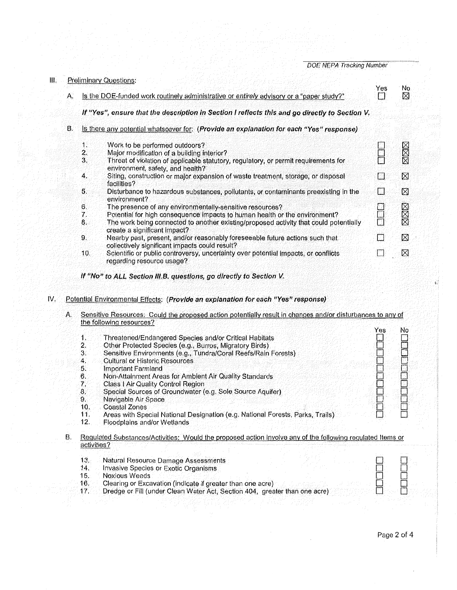| $\mathbf{m}_i$ |    | <b>Preliminary Questions:</b>                                                            |                                                                                                                                |          |         |  |  |
|----------------|----|------------------------------------------------------------------------------------------|--------------------------------------------------------------------------------------------------------------------------------|----------|---------|--|--|
|                | А. | Is the DOE-funded work routinely administrative or entirely advisory or a "paper study?" |                                                                                                                                |          | No<br>⊠ |  |  |
|                |    |                                                                                          | If "Yes", ensure that the description in Section I reflects this and go directly to Section V.                                 |          |         |  |  |
|                | В. |                                                                                          | Is there any potential whatsoever for: (Provide an explanation for each "Yes" response)                                        |          |         |  |  |
|                |    | $\mathbf{1}$                                                                             | Work to be performed outdoors?                                                                                                 |          | XXX     |  |  |
|                |    | $\overline{2}$ .                                                                         | Major modification of a building interior?                                                                                     |          |         |  |  |
|                |    | 3.                                                                                       | Threat of violation of applicable statutory, regulatory, or permit requirements for<br>environment, safety, and health?        |          |         |  |  |
|                |    | 4.                                                                                       | Siting, construction or major expansion of waste treatment, storage, or disposal<br>facilities?                                | ि        | ⊠       |  |  |
|                |    | 5.                                                                                       | Disturbance to hazardous substances, pollutants, or contaminants preexisting in the<br>environment?                            | n.       | ⊠       |  |  |
|                |    | 6.                                                                                       | The presence of any environmentally-sensitive resources?                                                                       |          | XXX     |  |  |
|                |    | 7.                                                                                       | Potential for high consequence impacts to human health or the environment?                                                     |          |         |  |  |
|                |    | 8.                                                                                       | The work being connected to another existing/proposed activity that could potentially<br>create a significant impact?          |          |         |  |  |
|                |    | 9.                                                                                       | Nearby past, present, and/or reasonably foreseeable future actions such that<br>collectively significant impacts could result? | П        | ⊠       |  |  |
|                |    | 10.                                                                                      | Scientific or public controversy, uncertainty over potential impacts, or conflicts<br>regarding resource usage?                | ing<br>T | ⊠       |  |  |
|                |    |                                                                                          |                                                                                                                                |          |         |  |  |

If "No" to ALL Section III.B. questions, go directly to Section V.

- IV. Potential Environmental Effects: (Provide an explanation for each "Yes" response)
	- A. Sensitive Resources: Could the proposed action potentially result in changes and/or disturbances to any of the following resources? **Interest and the following** resources

|    |             |                                                                                                            | Yes | No |
|----|-------------|------------------------------------------------------------------------------------------------------------|-----|----|
|    | 1.          | Threatened/Endangered Species and/or Critical Habitats                                                     |     |    |
|    | 2.          | Other Protected Species (e.g., Burros, Migratory Birds)                                                    |     |    |
|    | 3.          | Sensitive Environments (e.g., Tundra/Coral Reefs/Rain Forests)                                             |     |    |
|    | 4.          | <b>Cultural or Historic Resources</b>                                                                      |     |    |
|    | 5.          | Important Farmland                                                                                         |     |    |
|    | 6.          | Non-Attainment Areas for Ambient Air Quality Standards                                                     |     |    |
|    | 7.          | Class   Air Quality Control Region                                                                         |     |    |
|    | 8.          | Special Sources of Groundwater (e.g. Sole Source Aquifer)                                                  |     |    |
|    | 9.          | Navigable Air Space                                                                                        |     |    |
|    | 10.         | Coastal Zones                                                                                              |     |    |
|    | 11.         | Areas with Special National Designation (e.g. National Forests, Parks, Trails)                             |     |    |
|    | 12.         | Floodplains and/or Wetlands                                                                                |     |    |
| В. |             | Regulated Substances/Activities: Would the proposed action involve any of the following regulated Items or |     |    |
|    | activities? |                                                                                                            |     |    |
|    |             |                                                                                                            |     |    |
|    | 13.         | Natural Resource Damage Assessments                                                                        |     |    |
|    | 14.         | Invasive Species or Exotic Organisms                                                                       |     |    |
|    | 15.         | <b>Noxious Weeds</b>                                                                                       |     |    |
|    |             |                                                                                                            |     |    |

- 15. 16. Noxious Weeds Clearing or Excavation (indicate if greater than one acre)
- 17, Dredge or Fill (under Clean Water Act, Section 404, greater than one acre)

<u>L</u>  $\Box$ 

L <u>p</u>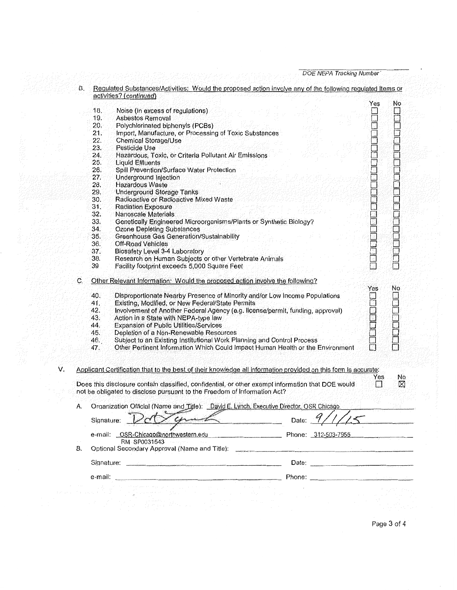|    | В. |                                   | Regulated Substances/Activities: Would the proposed action involve any of the following regulated Items or<br>activities? (continued)                                         |              |                         |              |     |
|----|----|-----------------------------------|-------------------------------------------------------------------------------------------------------------------------------------------------------------------------------|--------------|-------------------------|--------------|-----|
|    |    |                                   |                                                                                                                                                                               |              |                         | Yes          | No  |
|    |    | 18.                               | Noise (in excess of regulations)                                                                                                                                              |              |                         |              |     |
|    |    | 19.                               | Asbestos Removal                                                                                                                                                              |              |                         |              |     |
|    |    | 20.                               | Polychlorinated biphenyls (PCBs)                                                                                                                                              |              |                         |              |     |
|    |    | 21,                               | Import, Manufacture, or Processing of Toxic Substances                                                                                                                        |              |                         |              |     |
|    |    | 22.                               | <b>Chemical Storage/Use</b>                                                                                                                                                   |              |                         |              |     |
|    |    | 23.                               | Pesticide Use                                                                                                                                                                 |              |                         |              |     |
|    |    | 24.                               | Hazardous, Toxic, or Criteria Pollutant Air Emissions                                                                                                                         |              |                         |              |     |
|    |    | 25.                               | <b>Liquid Effluents</b>                                                                                                                                                       |              |                         |              |     |
|    |    | 26.                               | Spill Prevention/Surface Water Protection                                                                                                                                     |              |                         |              |     |
|    |    | 27.                               | Underground Injection                                                                                                                                                         |              |                         |              |     |
|    |    | 28.                               | Hazardous Waste                                                                                                                                                               |              |                         |              |     |
|    |    | 29.                               | <b>Underground Storage Tanks</b>                                                                                                                                              |              |                         |              |     |
|    |    |                                   |                                                                                                                                                                               |              |                         |              |     |
|    |    | 30.                               | Radioactive or Radioactive Mixed Waste                                                                                                                                        |              |                         | r de anglica |     |
|    |    | 31.                               | <b>Radiation Exposure</b>                                                                                                                                                     |              |                         |              |     |
|    |    | 32.                               | Nanoscale Materials                                                                                                                                                           |              |                         |              |     |
|    |    | 33.                               | Genetically Engineered Microorganisms/Plants or Synthetic Biology?                                                                                                            |              |                         |              |     |
|    |    | 34.                               | <b>Ozone Depleting Substances</b>                                                                                                                                             |              |                         |              |     |
|    |    | 35.                               | Greenhouse Gas Generation/Sustainability                                                                                                                                      |              |                         |              |     |
|    |    | 36.                               | Off-Road Vehicles                                                                                                                                                             |              |                         |              |     |
|    |    | 37.                               | Biosafety Level 3-4 Laboratory                                                                                                                                                |              |                         |              |     |
|    |    | 38.                               | Research on Human Subjects or other Vertebrate Animals                                                                                                                        |              |                         |              |     |
|    |    | 39                                | Facility footprint exceeds 5,000 Square Feet                                                                                                                                  |              |                         |              |     |
|    | C, |                                   | Other Relevant Information: Would the proposed action involve the following?                                                                                                  |              |                         |              |     |
|    |    |                                   |                                                                                                                                                                               |              |                         | Yes          | No  |
|    |    | 40.                               | Disproportionate Nearby Presence of Minority and/or Low Income Populations                                                                                                    |              |                         |              |     |
|    |    | 41.                               | Existing, Modified, or New Federal/State Permits                                                                                                                              |              |                         |              |     |
|    |    | 42.                               | Involvement of Another Federal Agency (e.g. license/permit, funding, approval)                                                                                                |              |                         | <b>Book</b>  |     |
|    |    | 43.                               | Action in a State with NEPA-type law                                                                                                                                          |              |                         |              |     |
|    |    | 44.                               | <b>Expansion of Public Utilities/Services</b>                                                                                                                                 |              |                         |              |     |
|    |    | 45.                               | Depletion of a Non-Renewable Resources                                                                                                                                        |              |                         |              |     |
|    |    | 46.                               | Subject to an Existing Institutional Work Planning and Control Process                                                                                                        |              |                         |              |     |
|    |    | 47.                               | Other Pertinent Information Which Could Impact Human Health or the Environment                                                                                                |              |                         | 靣            |     |
| V. |    |                                   | Applicant Certification that to the best of their knowledge all information provided on this form is accurate:                                                                |              |                         |              |     |
|    |    |                                   |                                                                                                                                                                               |              |                         | Yes          | No. |
|    |    |                                   | Does this disclosure contain classified, confidential, or other exempt information that DOE would<br>not be obligated to disclose pursuant to the Freedom of Information Act? |              |                         | ГI           | Ø   |
|    |    |                                   |                                                                                                                                                                               |              |                         |              |     |
|    | A. |                                   | Organization Official (Name and Title): David E. Lynch, Executive Director, OSR Chicago                                                                                       |              | $a \wedge r$<br>سو پرسم |              |     |
|    |    | Signature:                        |                                                                                                                                                                               |              | Date: $1/1/4$           |              |     |
|    |    |                                   | e-mail: OSR-Chicago@northwestern.edu<br>the control of the control of the control of the                                                                                      |              | Phone: 312-503-7955     |              |     |
|    | В. |                                   | RM-SP0031543<br>Optional Secondary Approval (Name and Title):                                                                                                                 |              |                         |              |     |
|    |    |                                   |                                                                                                                                                                               |              |                         |              |     |
|    |    | e-mail:                           |                                                                                                                                                                               |              |                         |              |     |
|    |    |                                   |                                                                                                                                                                               |              |                         |              |     |
|    |    | for an activities and the confir- | The more has been the company of the company of the company of<br>in the following and a series<br><b>Contract Contract</b><br>tria co<br><b>Contractor</b><br>in Albert      | and a series |                         |              |     |
|    |    |                                   | المستحقق والمستحدث والمتواطئ والمتحدث والمستقل والمستقل والمستحدث والمتناقص                                                                                                   |              |                         |              |     |

Page 3 of 4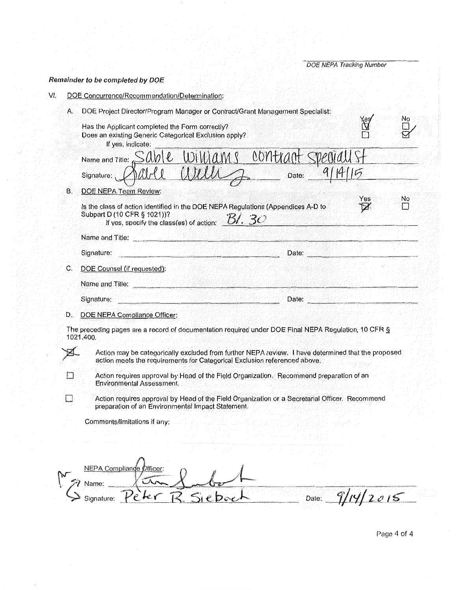### Remainder to be completed by DOE

VĹ. DOE Concurrence/Recommendation/Determination:

| А. | DOE Project Director/Program Manager or Contract/Grant Management Specialist:                           |     | No  |
|----|---------------------------------------------------------------------------------------------------------|-----|-----|
|    | Has the Applicant completed the Form correctly?                                                         |     |     |
|    | Does an existing Generic Categorical Exclusion apply?                                                   |     |     |
|    | If yes, indicate:                                                                                       |     |     |
|    |                                                                                                         |     |     |
|    | Name and Title: Sable Williams contract Speciall St                                                     |     |     |
| В. | <b>DOE NEPA Team Review:</b>                                                                            |     |     |
|    | Is the class of action identified in the DOE NEPA Regulations (Appendices A-D to                        | Yes | No. |
|    | Subpart D (10 CFR § 1021))?<br>If yes, specify the class(es) of action: $\underline{\mathcal{B}}$ . 30  |     |     |
|    | Name and Title:                                                                                         |     |     |
|    | Signature:<br>Date:                                                                                     |     |     |
| С. | DOE Counsel (if requested):                                                                             |     |     |
|    | Name and Title:                                                                                         |     |     |
|    | Signature:<br>Date:                                                                                     |     |     |
| D. | DOE NEPA Compliance Officer:                                                                            |     |     |
|    | The preceding pages are a record of documentation required under DOE Final NEPA Regulation, 10 CFR $\S$ |     |     |
|    | 1021.400.                                                                                               |     |     |

Action may be categorically excluded from further NEPA review. I have determined that the proposed action meets the requirements for Categorical Exclusion referenced above.

Action requires approval by Head of the Field Organization. Recommend preparation of an **Environmental Assessment.** 

Action requires approval by Head of the Field Organization or a Secretarial Officer. Recommend preparation of an Environmental Impact Statement.

Comments/limitations if any:

R

Ð

 $\Box$ 

| um<br>$\mathcal{C}$<br>$\sim$ $\sim$ $\sim$ | $n(x_{\text{corr}})$ |  | the contract of the contract of the<br>and the state of<br>$\sim$ $  -$                                           |  |
|---------------------------------------------|----------------------|--|-------------------------------------------------------------------------------------------------------------------|--|
| bignature:                                  | <b>A. A. A.</b>      |  | <b>Contract Contract Contract</b><br>.<br>$+$<br>and the contract of<br>and the com-<br>and the state of the con- |  |

Page 4 of 4